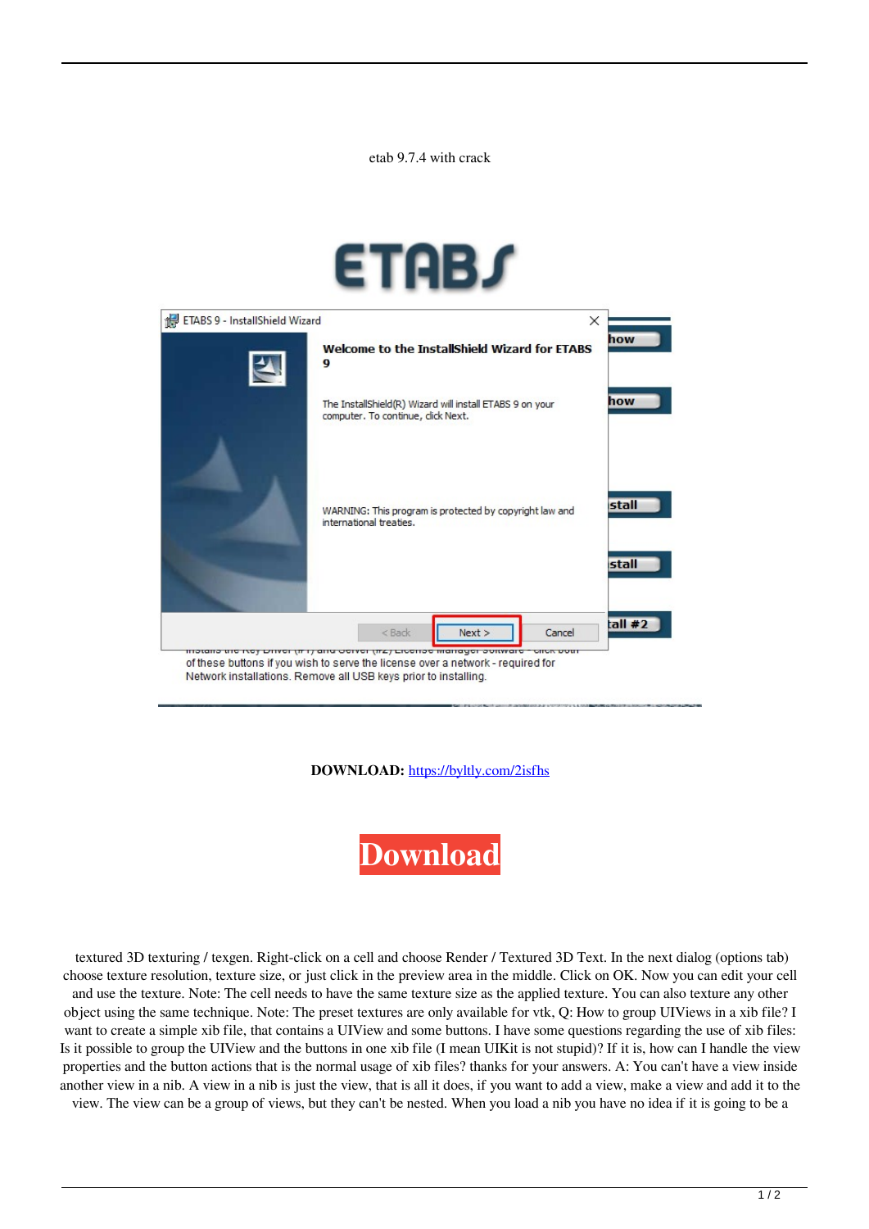etab 9.7.4 with crack





**DOWNLOAD:** <https://byltly.com/2isfhs>



 textured 3D texturing / texgen. Right-click on a cell and choose Render / Textured 3D Text. In the next dialog (options tab) choose texture resolution, texture size, or just click in the preview area in the middle. Click on OK. Now you can edit your cell and use the texture. Note: The cell needs to have the same texture size as the applied texture. You can also texture any other object using the same technique. Note: The preset textures are only available for vtk, Q: How to group UIViews in a xib file? I want to create a simple xib file, that contains a UIView and some buttons. I have some questions regarding the use of xib files: Is it possible to group the UIView and the buttons in one xib file (I mean UIKit is not stupid)? If it is, how can I handle the view properties and the button actions that is the normal usage of xib files? thanks for your answers. A: You can't have a view inside another view in a nib. A view in a nib is just the view, that is all it does, if you want to add a view, make a view and add it to the view. The view can be a group of views, but they can't be nested. When you load a nib you have no idea if it is going to be a